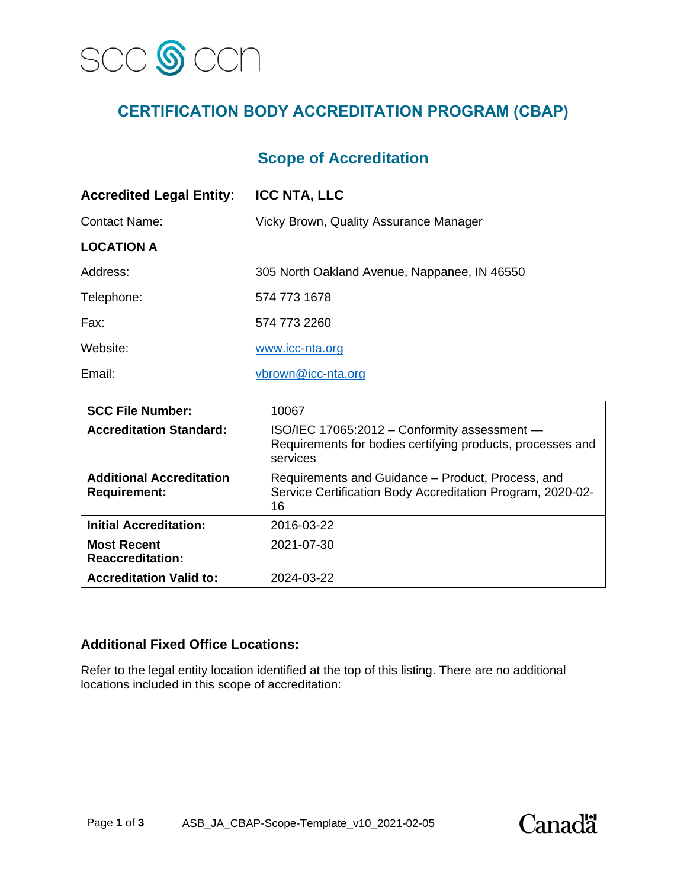

# **CERTIFICATION BODY ACCREDITATION PROGRAM (CBAP)**

## **Scope of Accreditation**

| <b>Accredited Legal Entity:</b> | <b>ICC NTA, LLC</b>                          |  |
|---------------------------------|----------------------------------------------|--|
| Contact Name:                   | Vicky Brown, Quality Assurance Manager       |  |
| <b>LOCATION A</b>               |                                              |  |
| Address:                        | 305 North Oakland Avenue, Nappanee, IN 46550 |  |
| Telephone:                      | 574 773 1678                                 |  |
| Fax:                            | 574 773 2260                                 |  |
| Website:                        | www.icc-nta.org                              |  |
| Email:                          | vbrown@icc-nta.org                           |  |

| <b>SCC File Number:</b>                                | 10067                                                                                                                  |
|--------------------------------------------------------|------------------------------------------------------------------------------------------------------------------------|
| <b>Accreditation Standard:</b>                         | ISO/IEC 17065:2012 - Conformity assessment -<br>Requirements for bodies certifying products, processes and<br>services |
| <b>Additional Accreditation</b><br><b>Requirement:</b> | Requirements and Guidance – Product, Process, and<br>Service Certification Body Accreditation Program, 2020-02-<br>16  |
| <b>Initial Accreditation:</b>                          | 2016-03-22                                                                                                             |
| <b>Most Recent</b><br><b>Reaccreditation:</b>          | 2021-07-30                                                                                                             |
| <b>Accreditation Valid to:</b>                         | 2024-03-22                                                                                                             |

### **Additional Fixed Office Locations:**

Refer to the legal entity location identified at the top of this listing. There are no additional locations included in this scope of accreditation:

**Canadä**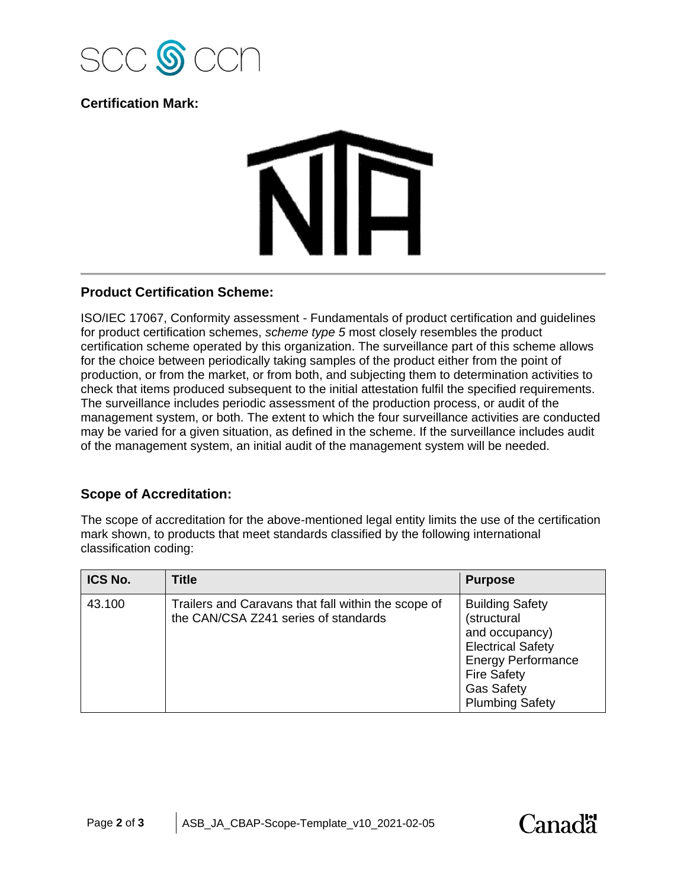

### **Certification Mark:**

# WID

### **Product Certification Scheme:**

ISO/IEC 17067, Conformity assessment - Fundamentals of product certification and guidelines for product certification schemes, *scheme type 5* most closely resembles the product certification scheme operated by this organization. The surveillance part of this scheme allows for the choice between periodically taking samples of the product either from the point of production, or from the market, or from both, and subjecting them to determination activities to check that items produced subsequent to the initial attestation fulfil the specified requirements. The surveillance includes periodic assessment of the production process, or audit of the management system, or both. The extent to which the four surveillance activities are conducted may be varied for a given situation, as defined in the scheme. If the surveillance includes audit of the management system, an initial audit of the management system will be needed.

### **Scope of Accreditation:**

The scope of accreditation for the above-mentioned legal entity limits the use of the certification mark shown, to products that meet standards classified by the following international classification coding:

| ICS No. | <b>Title</b>                                                                                | <b>Purpose</b>                                                                                                                                                                        |
|---------|---------------------------------------------------------------------------------------------|---------------------------------------------------------------------------------------------------------------------------------------------------------------------------------------|
| 43.100  | Trailers and Caravans that fall within the scope of<br>the CAN/CSA Z241 series of standards | <b>Building Safety</b><br>(structural<br>and occupancy)<br><b>Electrical Safety</b><br><b>Energy Performance</b><br><b>Fire Safety</b><br><b>Gas Safety</b><br><b>Plumbing Safety</b> |